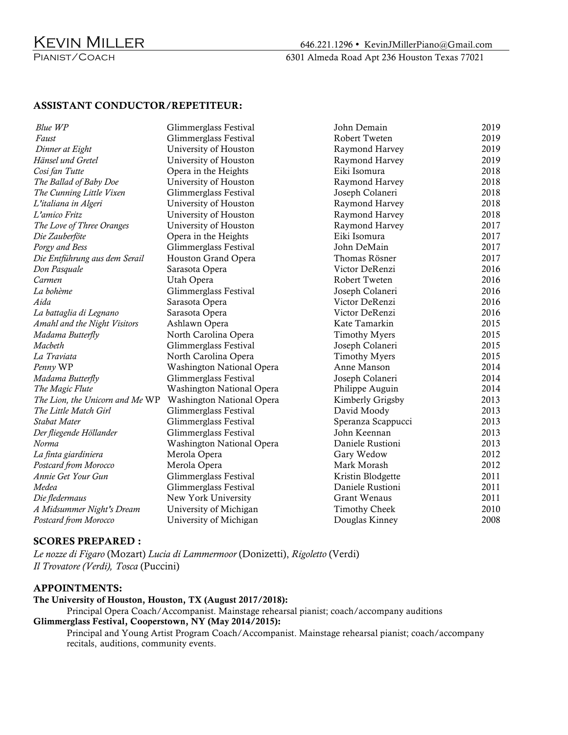## ASSISTANT CONDUCTOR/REPETITEUR:

| Blue WP                         | Glimmerglass Festival     | John Demain          | 2019 |
|---------------------------------|---------------------------|----------------------|------|
| Faust                           | Glimmerglass Festival     | Robert Tweten        | 2019 |
| Dinner at Eight                 | University of Houston     | Raymond Harvey       | 2019 |
| Hänsel und Gretel               | University of Houston     | Raymond Harvey       | 2019 |
| Cosi fan Tutte                  | Opera in the Heights      | Eiki Isomura         | 2018 |
| The Ballad of Baby Doe          | University of Houston     | Raymond Harvey       | 2018 |
| The Cunning Little Vixen        | Glimmerglass Festival     | Joseph Colaneri      | 2018 |
| L'italiana in Algeri            | University of Houston     | Raymond Harvey       | 2018 |
| L'amico Fritz                   | University of Houston     | Raymond Harvey       | 2018 |
| The Love of Three Oranges       | University of Houston     | Raymond Harvey       | 2017 |
| Die Zauberföte                  | Opera in the Heights      | Eiki Isomura         | 2017 |
| Porgy and Bess                  | Glimmerglass Festival     | John DeMain          | 2017 |
| Die Entführung aus dem Serail   | Houston Grand Opera       | Thomas Rösner        | 2017 |
|                                 | Sarasota Opera            | Victor DeRenzi       | 2016 |
| Don Pasquale<br>Carmen          | Utah Opera                | Robert Tweten        | 2016 |
| La bohème                       |                           |                      | 2016 |
|                                 | Glimmerglass Festival     | Joseph Colaneri      |      |
| Aida                            | Sarasota Opera            | Victor DeRenzi       | 2016 |
| La battaglia di Legnano         | Sarasota Opera            | Victor DeRenzi       | 2016 |
| Amahl and the Night Visitors    | Ashlawn Opera             | Kate Tamarkin        | 2015 |
| Madama Butterfly                | North Carolina Opera      | <b>Timothy Myers</b> | 2015 |
| Macbeth                         | Glimmerglass Festival     | Joseph Colaneri      | 2015 |
| La Traviata                     | North Carolina Opera      | <b>Timothy Myers</b> | 2015 |
| Penny WP                        | Washington National Opera | Anne Manson          | 2014 |
| Madama Butterfly                | Glimmerglass Festival     | Joseph Colaneri      | 2014 |
| The Magic Flute                 | Washington National Opera | Philippe Auguin      | 2014 |
| The Lion, the Unicorn and Me WP | Washington National Opera | Kimberly Grigsby     | 2013 |
| The Little Match Girl           | Glimmerglass Festival     | David Moody          | 2013 |
| Stabat Mater                    | Glimmerglass Festival     | Speranza Scappucci   | 2013 |
| Der fliegende Höllander         | Glimmerglass Festival     | John Keennan         | 2013 |
| Norma                           | Washington National Opera | Daniele Rustioni     | 2013 |
| La finta giardiniera            | Merola Opera              | Gary Wedow           | 2012 |
| Postcard from Morocco           | Merola Opera              | Mark Morash          | 2012 |
| Annie Get Your Gun              | Glimmerglass Festival     | Kristin Blodgette    | 2011 |
| Medea                           | Glimmerglass Festival     | Daniele Rustioni     | 2011 |
| Die fledermaus                  | New York University       | Grant Wenaus         | 2011 |
| A Midsummer Night's Dream       | University of Michigan    | <b>Timothy Cheek</b> | 2010 |
| Postcard from Morocco           | University of Michigan    | Douglas Kinney       | 2008 |

## SCORES PREPARED :

*Le nozze di Figaro* (Mozart) *Lucia di Lammermoor* (Donizetti), *Rigoletto* (Verdi) *Il Trovatore (Verdi), Tosca* (Puccini)

## APPOINTMENTS:

The University of Houston, Houston, TX (August 2017/2018):

Principal Opera Coach/Accompanist. Mainstage rehearsal pianist; coach/accompany auditions Glimmerglass Festival, Cooperstown, NY (May 2014/2015):

Principal and Young Artist Program Coach/Accompanist. Mainstage rehearsal pianist; coach/accompany recitals, auditions, community events.